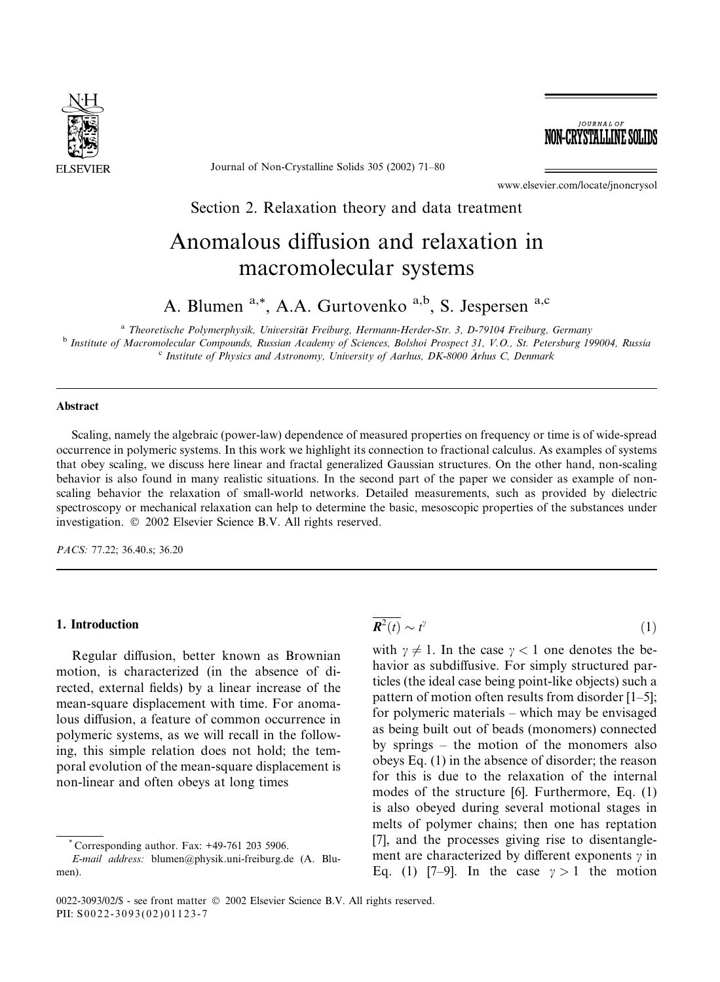

Journal of Non-Crystalline Solids 305 (2002) 71–80

*JOURNAL OF* NON-CRYSTALLINE SOLIDS

www.elsevier.com/locate/jnoncrysol

# Section 2. Relaxation theory and data treatment

# Anomalous diffusion and relaxation in macromolecular systems

A. Blumen <sup>a,\*</sup>, A.A. Gurtovenko <sup>a,b</sup>, S. Jespersen <sup>a,c</sup>

<sup>a</sup> Theoretische Polymerphysik, Universität Freiburg, Hermann-Herder-Str. 3, D-79104 Freiburg, Germany<br><sup>b</sup> Institute of Macromolecular Compounds, Russian Academy of Sciences, Bolshoi Prospect 31, V.O., St. Petersburg 19900  $\textdegree$  Institute of Physics and Astronomy, University of Aarhus, DK-8000  $\AA$ rhus C, Denmark

# Abstract

Scaling, namely the algebraic (power-law) dependence of measured properties on frequency or time is of wide-spread occurrence in polymeric systems. In this work we highlight its connection to fractional calculus. As examples of systems that obey scaling, we discuss here linear and fractal generalized Gaussian structures. On the other hand, non-scaling behavior is also found in many realistic situations. In the second part of the paper we consider as example of nonscaling behavior the relaxation of small-world networks. Detailed measurements, such as provided by dielectric spectroscopy or mechanical relaxation can help to determine the basic, mesoscopic properties of the substances under investigation.  $\oslash$  2002 Elsevier Science B.V. All rights reserved.

PACS: 77.22; 36.40.s; 36.20

#### 1. Introduction

Regular diffusion, better known as Brownian motion, is characterized (in the absence of directed, external fields) by a linear increase of the mean-square displacement with time. For anomalous diffusion, a feature of common occurrence in polymeric systems, as we will recall in the following, this simple relation does not hold; the temporal evolution of the mean-square displacement is non-linear and often obeys at long times

$$
\mathbf{R}^2(t) \sim t^{\gamma} \tag{1}
$$

with  $\gamma \neq 1$ . In the case  $\gamma < 1$  one denotes the behavior as subdiffusive. For simply structured particles (the ideal case being point-like objects) such a pattern of motion often results from disorder [1–5]; for polymeric materials – which may be envisaged as being built out of beads (monomers) connected by springs – the motion of the monomers also obeys Eq. (1) in the absence of disorder; the reason for this is due to the relaxation of the internal modes of the structure [6]. Furthermore, Eq. (1) is also obeyed during several motional stages in melts of polymer chains; then one has reptation [7], and the processes giving rise to disentanglement are characterized by different exponents  $\gamma$  in Eq. (1) [7–9]. In the case  $\gamma > 1$  the motion

Corresponding author. Fax: +49-761 203 5906.

E-mail address: blumen@physik.uni-freiburg.de (A. Blumen).

<sup>0022-3093/02/\$ -</sup> see front matter  $\degree$  2002 Elsevier Science B.V. All rights reserved. PII: S0022-3093(02)01123-7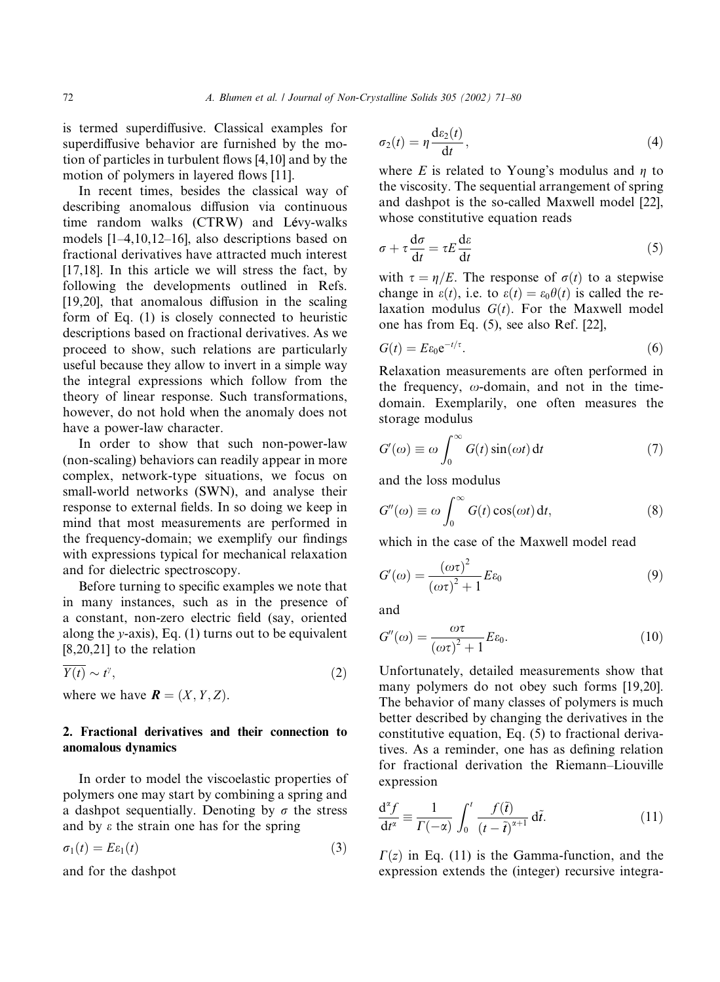is termed superdiffusive. Classical examples for superdiffusive behavior are furnished by the motion of particles in turbulent flows [4,10] and by the motion of polymers in layered flows [11].

In recent times, besides the classical way of describing anomalous diffusion via continuous time random walks (CTRW) and Lévy-walks models [1–4,10,12–16], also descriptions based on fractional derivatives have attracted much interest [17,18]. In this article we will stress the fact, by following the developments outlined in Refs. [19,20], that anomalous diffusion in the scaling form of Eq. (1) is closely connected to heuristic descriptions based on fractional derivatives. As we proceed to show, such relations are particularly useful because they allow to invert in a simple way the integral expressions which follow from the theory of linear response. Such transformations, however, do not hold when the anomaly does not have a power-law character.

In order to show that such non-power-law (non-scaling) behaviors can readily appear in more complex, network-type situations, we focus on small-world networks (SWN), and analyse their response to external fields. In so doing we keep in mind that most measurements are performed in the frequency-domain; we exemplify our findings with expressions typical for mechanical relaxation and for dielectric spectroscopy.

Before turning to specific examples we note that in many instances, such as in the presence of a constant, non-zero electric field (say, oriented along the y-axis), Eq.  $(1)$  turns out to be equivalent [8,20,21] to the relation

$$
\overline{Y(t)} \sim t^{\gamma},\tag{2}
$$

where we have  $\mathbf{R} = (X, Y, Z)$ .

# 2. Fractional derivatives and their connection to anomalous dynamics

In order to model the viscoelastic properties of polymers one may start by combininga springand a dashpot sequentially. Denoting by  $\sigma$  the stress and by  $\varepsilon$  the strain one has for the spring

$$
\sigma_1(t) = E \varepsilon_1(t) \tag{3}
$$

and for the dashpot

$$
\sigma_2(t) = \eta \frac{\mathrm{d}\varepsilon_2(t)}{\mathrm{d}t},\tag{4}
$$

where E is related to Young's modulus and  $\eta$  to the viscosity. The sequential arrangement of spring and dashpot is the so-called Maxwell model [22], whose constitutive equation reads

$$
\sigma + \tau \frac{d\sigma}{dt} = \tau E \frac{d\varepsilon}{dt}
$$
 (5)

with  $\tau = \eta/E$ . The response of  $\sigma(t)$  to a stepwise change in  $\varepsilon(t)$ , i.e. to  $\varepsilon(t) = \varepsilon_0 \theta(t)$  is called the relaxation modulus  $G(t)$ . For the Maxwell model one has from Eq. (5), see also Ref. [22],

$$
G(t) = E\varepsilon_0 e^{-t/\tau}.
$$
\n(6)

Relaxation measurements are often performed in the frequency,  $\omega$ -domain, and not in the timedomain. Exemplarily, one often measures the storage modulus

$$
G'(\omega) \equiv \omega \int_0^\infty G(t) \sin(\omega t) dt \tag{7}
$$

and the loss modulus

$$
G''(\omega) \equiv \omega \int_0^\infty G(t) \cos(\omega t) dt,
$$
\n(8)

which in the case of the Maxwell model read

$$
G'(\omega) = \frac{(\omega \tau)^2}{(\omega \tau)^2 + 1} E \varepsilon_0 \tag{9}
$$

and

$$
G''(\omega) = \frac{\omega \tau}{(\omega \tau)^2 + 1} E \varepsilon_0.
$$
 (10)

Unfortunately, detailed measurements show that many polymers do not obey such forms [19,20]. The behavior of many classes of polymers is much better described by changing the derivatives in the constitutive equation, Eq. (5) to fractional derivatives. As a reminder, one has as defining relation for fractional derivation the Riemann–Liouville expression

$$
\frac{\mathrm{d}^{\alpha} f}{\mathrm{d}t^{\alpha}} \equiv \frac{1}{\Gamma(-\alpha)} \int_0^t \frac{f(\tilde{t})}{(t-\tilde{t})^{\alpha+1}} \,\mathrm{d}\tilde{t}.\tag{11}
$$

 $\Gamma(z)$  in Eq. (11) is the Gamma-function, and the expression extends the (integer) recursive integra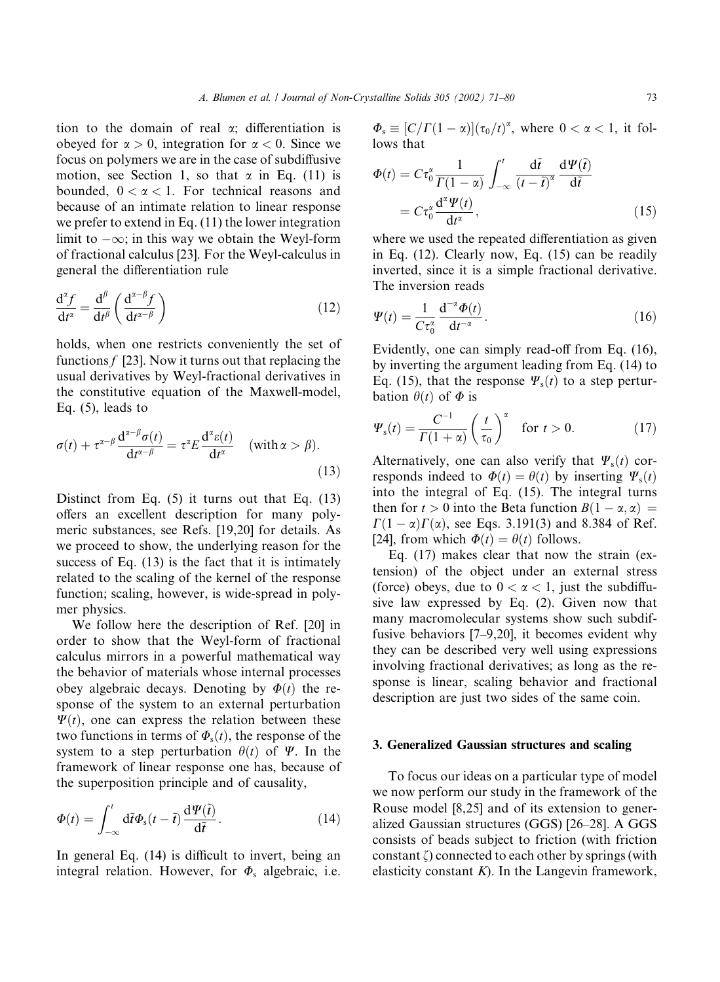tion to the domain of real  $\alpha$ ; differentiation is obeyed for  $\alpha > 0$ , integration for  $\alpha < 0$ . Since we focus on polymers we are in the case of subdiffusive motion, see Section 1, so that  $\alpha$  in Eq. (11) is bounded,  $0 < \alpha < 1$ . For technical reasons and because of an intimate relation to linear response we prefer to extend in Eq. (11) the lower integration limit to  $-\infty$ ; in this way we obtain the Weyl-form of fractional calculus [23]. For the Weyl-calculus in general the differentiation rule

$$
\frac{\mathrm{d}^{\alpha} f}{\mathrm{d}t^{\alpha}} = \frac{\mathrm{d}^{\beta}}{\mathrm{d}t^{\beta}} \left( \frac{\mathrm{d}^{\alpha-\beta} f}{\mathrm{d}t^{\alpha-\beta}} \right) \tag{12}
$$

holds, when one restricts conveniently the set of functions  $f$  [23]. Now it turns out that replacing the usual derivatives by Weyl-fractional derivatives in the constitutive equation of the Maxwell-model, Eq. (5), leads to

$$
\sigma(t) + \tau^{\alpha-\beta} \frac{d^{\alpha-\beta}\sigma(t)}{dt^{\alpha-\beta}} = \tau^{\alpha} E \frac{d^{\alpha}\varepsilon(t)}{dt^{\alpha}} \quad (\text{with } \alpha > \beta). \tag{13}
$$

Distinct from Eq. (5) it turns out that Eq. (13) offers an excellent description for many polymeric substances, see Refs. [19,20] for details. As we proceed to show, the underlying reason for the success of Eq. (13) is the fact that it is intimately related to the scaling of the kernel of the response function; scaling, however, is wide-spread in polymer physics.

We follow here the description of Ref. [20] in order to show that the Weyl-form of fractional calculus mirrors in a powerful mathematical way the behavior of materials whose internal processes obey algebraic decays. Denoting by  $\Phi(t)$  the response of the system to an external perturbation  $\Psi(t)$ , one can express the relation between these two functions in terms of  $\Phi_{s}(t)$ , the response of the system to a step perturbation  $\theta(t)$  of  $\Psi$ . In the framework of linear response one has, because of the superposition principle and of causality,

$$
\Phi(t) = \int_{-\infty}^{t} d\tilde{t} \Phi_{\rm s}(t - \tilde{t}) \frac{\mathrm{d} \Psi(\tilde{t})}{\mathrm{d} \tilde{t}}.
$$
\n(14)

In general Eq. (14) is difficult to invert, being an integral relation. However, for  $\Phi_s$  algebraic, i.e.

 $\Phi_{\rm s} \equiv [C/\Gamma(1-\alpha)](\tau_0/t)^{\alpha}$ , where  $0 < \alpha < 1$ , it follows that

$$
\Phi(t) = C\tau_0^{\alpha} \frac{1}{\Gamma(1-\alpha)} \int_{-\infty}^{t} \frac{d\tilde{t}}{(t-\tilde{t})^{\alpha}} \frac{d\Psi(\tilde{t})}{d\tilde{t}}
$$

$$
= C\tau_0^{\alpha} \frac{d^{\alpha}\Psi(t)}{dt^{\alpha}}, \qquad (15)
$$

where we used the repeated differentiation as given in Eq. (12). Clearly now, Eq. (15) can be readily inverted, since it is a simple fractional derivative. The inversion reads

$$
\Psi(t) = \frac{1}{C\tau_0^2} \frac{d^{-\alpha}\Phi(t)}{dt^{-\alpha}}.
$$
\n(16)

Evidently, one can simply read-off from Eq. (16), by inverting the argument leading from Eq.  $(14)$  to Eq. (15), that the response  $\Psi_s(t)$  to a step perturbation  $\theta(t)$  of  $\Phi$  is

$$
\Psi_{s}(t) = \frac{C^{-1}}{\Gamma(1+\alpha)} \left(\frac{t}{\tau_0}\right)^{\alpha} \quad \text{for } t > 0.
$$
 (17)

Alternatively, one can also verify that  $\Psi_s(t)$  corresponds indeed to  $\Phi(t) = \theta(t)$  by inserting  $\Psi_s(t)$ into the integral of Eq. (15). The integral turns then for  $t > 0$  into the Beta function  $B(1 - \alpha, \alpha) =$  $\Gamma(1-\alpha)\Gamma(\alpha)$ , see Eqs. 3.191(3) and 8.384 of Ref. [24], from which  $\Phi(t) = \theta(t)$  follows.

Eq. (17) makes clear that now the strain (extension) of the object under an external stress (force) obeys, due to  $0 < \alpha < 1$ , just the subdiffusive law expressed by Eq. (2). Given now that many macromolecular systems show such subdiffusive behaviors [7–9,20], it becomes evident why they can be described very well using expressions involving fractional derivatives; as long as the response is linear, scaling behavior and fractional description are just two sides of the same coin.

#### 3. Generalized Gaussian structures and scaling

To focus our ideas on a particular type of model we now perform our study in the framework of the Rouse model [8,25] and of its extension to generalized Gaussian structures (GGS) [26–28]. A GGS consists of beads subject to friction (with friction constant  $\zeta$ ) connected to each other by springs (with elasticity constant  $K$ ). In the Langevin framework,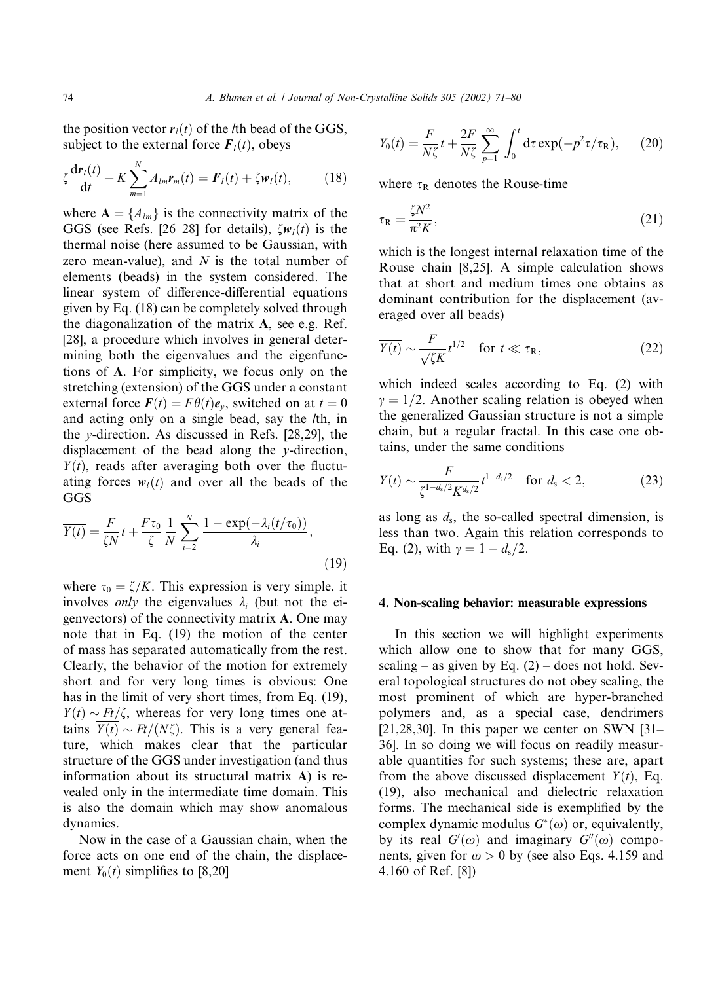the position vector  $r_l(t)$  of the *l*th bead of the GGS, subject to the external force  $F_l(t)$ , obeys

$$
\zeta \frac{\mathrm{d} \mathbf{r}_l(t)}{\mathrm{d} t} + K \sum_{m=1}^N A_{lm} \mathbf{r}_m(t) = \boldsymbol{F}_l(t) + \zeta \boldsymbol{w}_l(t), \tag{18}
$$

where  $\mathbf{A} = \{A_{lm}\}\$ is the connectivity matrix of the GGS (see Refs. [26–28] for details),  $\zeta w_l(t)$  is the thermal noise (here assumed to be Gaussian, with zero mean-value), and  $N$  is the total number of elements (beads) in the system considered. The linear system of difference-differential equations given by Eq. (18) can be completely solved through the diagonalization of the matrix A, see e.g. Ref. [28], a procedure which involves in general determining both the eigenvalues and the eigenfunctions of A. For simplicity, we focus only on the stretching(extension) of the GGS under a constant external force  $\mathbf{F}(t) = F\theta(t)\mathbf{e}_v$ , switched on at  $t = 0$ and acting only on a single bead, say the *l*th, in the y-direction. As discussed in Refs. [28,29], the displacement of the bead along the  $\nu$ -direction,  $Y(t)$ , reads after averaging both over the fluctuating forces  $w_l(t)$  and over all the beads of the GGS

$$
\overline{Y(t)} = \frac{F}{\zeta N} t + \frac{F\tau_0}{\zeta} \frac{1}{N} \sum_{i=2}^{N} \frac{1 - \exp(-\lambda_i(t/\tau_0))}{\lambda_i},
$$
\n(19)

where  $\tau_0 = \zeta/K$ . This expression is very simple, it involves only the eigenvalues  $\lambda_i$  (but not the eigenvectors) of the connectivity matrix A. One may note that in Eq. (19) the motion of the center of mass has separated automatically from the rest. Clearly, the behavior of the motion for extremely short and for very long times is obvious: One has in the limit of very short times, from Eq. (19),  $\overline{Y(t)} \sim Ft/\zeta$ , whereas for very long times one attains  $Y(t) \sim Ft/(N\zeta)$ . This is a very general feature, which makes clear that the particular structure of the GGS under investigation (and thus information about its structural matrix A) is revealed only in the intermediate time domain. This is also the domain which may show anomalous dynamics.

Now in the case of a Gaussian chain, when the force acts on one end of the chain, the displacement  $Y_0(t)$  simplifies to [8,20]

$$
\overline{Y_0(t)} = \frac{F}{N\zeta}t + \frac{2F}{N\zeta}\sum_{p=1}^{\infty} \int_0^t \mathrm{d}\tau \exp(-p^2\tau/\tau_R), \qquad (20)
$$

where  $\tau_R$  denotes the Rouse-time

$$
\tau_{\mathbf{R}} = \frac{\zeta N^2}{\pi^2 K},\tag{21}
$$

which is the longest internal relaxation time of the Rouse chain [8,25]. A simple calculation shows that at short and medium times one obtains as dominant contribution for the displacement (averaged over all beads)

$$
\overline{Y(t)} \sim \frac{F}{\sqrt{\zeta K}} t^{1/2} \quad \text{for } t \ll \tau_R,
$$
\n(22)

which indeed scales according to Eq.  $(2)$  with  $\gamma = 1/2$ . Another scaling relation is obeyed when the generalized Gaussian structure is not a simple chain, but a regular fractal. In this case one obtains, under the same conditions

$$
\overline{Y(t)} \sim \frac{F}{\zeta^{1-d_s/2} K^{d_s/2}} t^{1-d_s/2} \quad \text{for } d_s < 2,
$$
 (23)

as long as  $d_s$ , the so-called spectral dimension, is less than two. Again this relation corresponds to Eq. (2), with  $\gamma = 1 - d_s/2$ .

#### 4. Non-scaling behavior: measurable expressions

In this section we will highlight experiments which allow one to show that for many GGS, scaling – as given by Eq.  $(2)$  – does not hold. Several topological structures do not obey scaling, the most prominent of which are hyper-branched polymers and, as a special case, dendrimers  $[21,28,30]$ . In this paper we center on SWN  $[31-$ 36]. In so doing we will focus on readily measurable quantities for such systems; these are, apart from the above discussed displacement  $Y(t)$ , Eq. (19), also mechanical and dielectric relaxation forms. The mechanical side is exemplified by the complex dynamic modulus  $G^*(\omega)$  or, equivalently, by its real  $G'(\omega)$  and imaginary  $G''(\omega)$  components, given for  $\omega > 0$  by (see also Eqs. 4.159 and 4.160 of Ref. [8])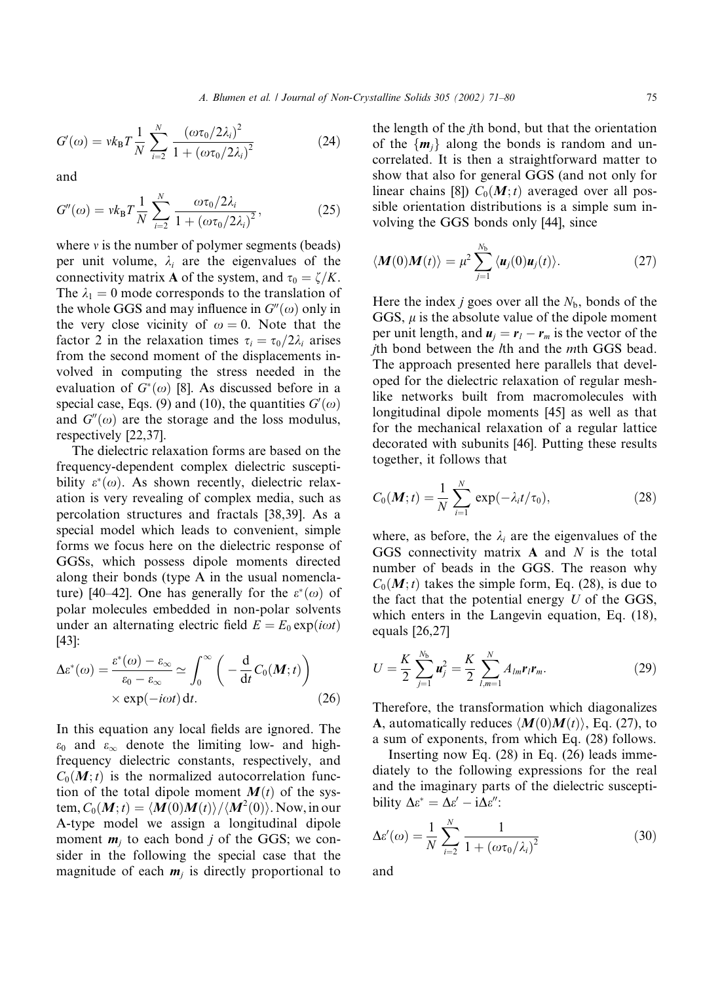$$
G'(\omega) = v k_{\rm B} T \frac{1}{N} \sum_{i=2}^{N} \frac{(\omega \tau_0 / 2 \lambda_i)^2}{1 + (\omega \tau_0 / 2 \lambda_i)^2}
$$
(24)

and

$$
G''(\omega) = v k_{\rm B} T \frac{1}{N} \sum_{i=2}^{N} \frac{\omega \tau_0 / 2\lambda_i}{1 + (\omega \tau_0 / 2\lambda_i)^2},
$$
 (25)

where  $\nu$  is the number of polymer segments (beads) per unit volume,  $\lambda_i$  are the eigenvalues of the connectivity matrix **A** of the system, and  $\tau_0 = \zeta/K$ . The  $\lambda_1 = 0$  mode corresponds to the translation of the whole GGS and may influence in  $G''(\omega)$  only in the very close vicinity of  $\omega = 0$ . Note that the factor 2 in the relaxation times  $\tau_i = \tau_0/2\lambda_i$  arises from the second moment of the displacements involved in computing the stress needed in the evaluation of  $G^*(\omega)$  [8]. As discussed before in a special case, Eqs. (9) and (10), the quantities  $G'(\omega)$ and  $G''(\omega)$  are the storage and the loss modulus, respectively [22,37].

The dielectric relaxation forms are based on the frequency-dependent complex dielectric susceptibility  $\varepsilon^*(\omega)$ . As shown recently, dielectric relaxation is very revealing of complex media, such as percolation structures and fractals [38,39]. As a special model which leads to convenient, simple forms we focus here on the dielectric response of GGSs, which possess dipole moments directed along their bonds (type  $A$  in the usual nomenclature) [40–42]. One has generally for the  $\varepsilon^*(\omega)$  of polar molecules embedded in non-polar solvents under an alternating electric field  $E = E_0 \exp(i\omega t)$ [43]:

$$
\Delta \varepsilon^*(\omega) = \frac{\varepsilon^*(\omega) - \varepsilon_{\infty}}{\varepsilon_0 - \varepsilon_{\infty}} \simeq \int_0^{\infty} \left( -\frac{d}{dt} C_0(M; t) \right)
$$
  
× exp(-i\omega t) dt. (26)

In this equation any local fields are ignored. The  $\varepsilon_0$  and  $\varepsilon_{\infty}$  denote the limiting low- and highfrequency dielectric constants, respectively, and  $C_0(M; t)$  is the normalized autocorrelation function of the total dipole moment  $M(t)$  of the system,  $C_0(\boldsymbol{M}; t) = \langle \boldsymbol{M}(0) \boldsymbol{M}(t) \rangle / \langle \boldsymbol{M}^2(0) \rangle$ . Now, in our A-type model we assign a longitudinal dipole moment  $m_i$  to each bond *j* of the GGS; we consider in the following the special case that the magnitude of each  $m_i$  is directly proportional to

the length of the jth bond, but that the orientation of the  $\{m_i\}$  along the bonds is random and uncorrelated. It is then a straightforward matter to show that also for general GGS (and not only for linear chains [8])  $C_0(M; t)$  averaged over all possible orientation distributions is a simple sum involving the GGS bonds only [44], since

$$
\langle \mathbf{M}(0)\mathbf{M}(t)\rangle = \mu^2 \sum_{j=1}^{N_b} \langle \mathbf{u}_j(0)\mathbf{u}_j(t)\rangle.
$$
 (27)

Here the index j goes over all the  $N_b$ , bonds of the GGS,  $\mu$  is the absolute value of the dipole moment per unit length, and  $u_j = r_l - r_m$  is the vector of the jth bond between the lth and the mth GGS bead. The approach presented here parallels that developed for the dielectric relaxation of regular meshlike networks built from macromolecules with longitudinal dipole moments [45] as well as that for the mechanical relaxation of a regular lattice decorated with subunits [46]. Putting these results together, it follows that

$$
C_0(M;t) = \frac{1}{N} \sum_{i=1}^{N} \exp(-\lambda_i t/\tau_0),
$$
 (28)

where, as before, the  $\lambda_i$  are the eigenvalues of the GGS connectivity matrix  $A$  and  $N$  is the total number of beads in the GGS. The reason why  $C_0(M; t)$  takes the simple form, Eq. (28), is due to the fact that the potential energy  $U$  of the GGS, which enters in the Langevin equation, Eq. (18), equals [26,27]

$$
U = \frac{K}{2} \sum_{j=1}^{N_{\rm b}} \mathbf{u}_j^2 = \frac{K}{2} \sum_{l,m=1}^{N} A_{lm} \mathbf{r}_l \mathbf{r}_m.
$$
 (29)

Therefore, the transformation which diagonalizes **A**, automatically reduces  $\langle M(0)M(t) \rangle$ , Eq. (27), to a sum of exponents, from which Eq. (28) follows.

Inserting now Eq.  $(28)$  in Eq.  $(26)$  leads immediately to the following expressions for the real and the imaginary parts of the dielectric susceptibility  $\Delta \varepsilon^* = \Delta \varepsilon' - i \Delta \varepsilon''$ :

$$
\Delta \varepsilon'(\omega) = \frac{1}{N} \sum_{i=2}^{N} \frac{1}{1 + (\omega \tau_0 / \lambda_i)^2}
$$
(30)

and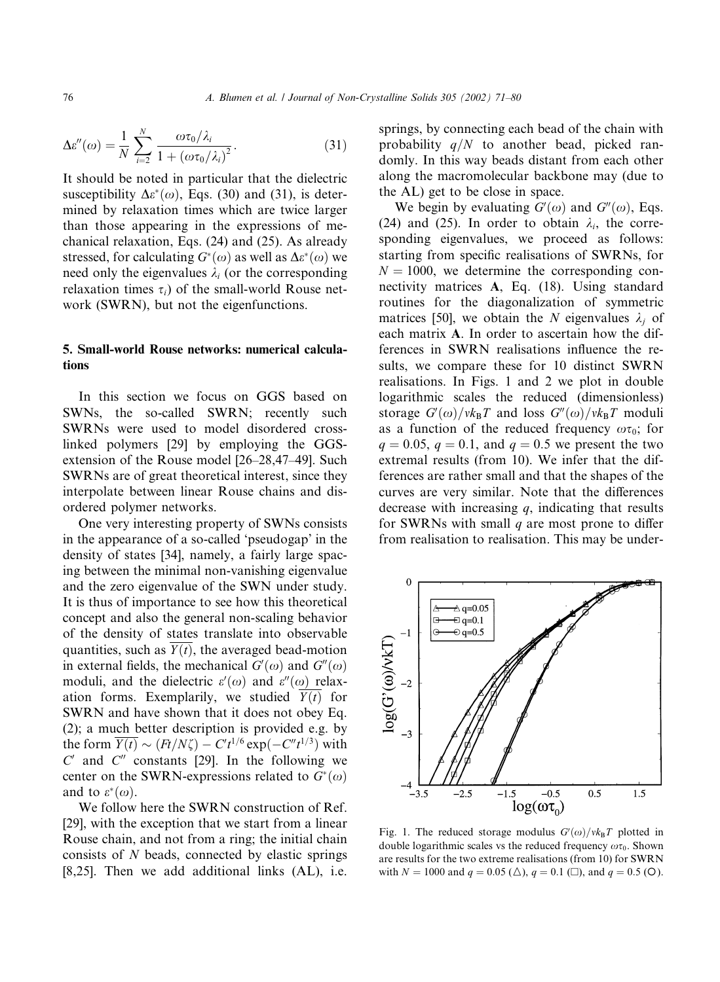$$
\Delta \varepsilon''(\omega) = \frac{1}{N} \sum_{i=2}^{N} \frac{\omega \tau_0 / \lambda_i}{1 + (\omega \tau_0 / \lambda_i)^2}.
$$
 (31)

It should be noted in particular that the dielectric susceptibility  $\Delta \varepsilon^*(\omega)$ , Eqs. (30) and (31), is determined by relaxation times which are twice larger than those appearing in the expressions of mechanical relaxation, Eqs. (24) and (25). As already stressed, for calculating  $G^*(\omega)$  as well as  $\Delta \varepsilon^*(\omega)$  we need only the eigenvalues  $\lambda_i$  (or the corresponding relaxation times  $\tau_i$ ) of the small-world Rouse network (SWRN), but not the eigenfunctions.

# 5. Small-world Rouse networks: numerical calculations

In this section we focus on GGS based on SWNs, the so-called SWRN; recently such SWRNs were used to model disordered crosslinked polymers  $[29]$  by employing the GGSextension of the Rouse model [26–28,47–49]. Such SWRNs are of great theoretical interest, since they interpolate between linear Rouse chains and disordered polymer networks.

One very interesting property of SWNs consists in the appearance of a so-called 'pseudogap' in the density of states [34], namely, a fairly large spacing between the minimal non-vanishing eigenvalue and the zero eigenvalue of the SWN under study. It is thus of importance to see how this theoretical concept and also the general non-scaling behavior of the density of states translate into observable quantities, such as  $Y(t)$ , the averaged bead-motion in external fields, the mechanical  $G'(\omega)$  and  $G''(\omega)$ moduli, and the dielectric  $\varepsilon'(\omega)$  and  $\varepsilon''(\omega)$  relaxation forms. Exemplarily, we studied  $Y(t)$  for SWRN and have shown that it does not obey Eq. (2); a much better description is provided e.g. by the form  $\overline{Y(t)} \sim (Ft/N\zeta) - C't^{1/6} \exp(-C''t^{1/3})$  with  $C<sup>′</sup>$  and  $C<sup>″</sup>$  constants [29]. In the following we center on the SWRN-expressions related to  $G^*(\omega)$ and to  $\varepsilon^*(\omega)$ .

We follow here the SWRN construction of Ref. [29], with the exception that we start from a linear Rouse chain, and not from a ring; the initial chain consists of N beads, connected by elastic springs [8,25]. Then we add additional links (AL), i.e. springs, by connecting each bead of the chain with probability  $q/N$  to another bead, picked randomly. In this way beads distant from each other along the macromolecular backbone may (due to the AL) get to be close in space.

We begin by evaluating  $G'(\omega)$  and  $G''(\omega)$ , Eqs. (24) and (25). In order to obtain  $\lambda_i$ , the corresponding eigenvalues, we proceed as follows: starting from specific realisations of SWRNs, for  $N = 1000$ , we determine the corresponding connectivity matrices  $A$ , Eq. (18). Using standard routines for the diagonalization of symmetric matrices [50], we obtain the N eigenvalues  $\lambda_i$  of each matrix A. In order to ascertain how the differences in SWRN realisations influence the results, we compare these for 10 distinct SWRN realisations. In Figs. 1 and 2 we plot in double logarithmic scales the reduced (dimensionless) storage  $G'(\omega)/\nu k_BT$  and loss  $G''(\omega)/\nu k_BT$  moduli as a function of the reduced frequency  $\omega\tau_0$ ; for  $q = 0.05, q = 0.1,$  and  $q = 0.5$  we present the two extremal results (from 10). We infer that the differences are rather small and that the shapes of the curves are very similar. Note that the differences decrease with increasing  $q$ , indicating that results for SWRNs with small  $q$  are most prone to differ from realisation to realisation. This may be under-



Fig. 1. The reduced storage modulus  $G'(\omega)/\nu k_BT$  plotted in double logarithmic scales vs the reduced frequency  $\omega\tau_0$ . Shown are results for the two extreme realisations (from 10) for SWRN with  $N = 1000$  and  $q = 0.05$  ( $\triangle$ ),  $q = 0.1$  ( $\square$ ), and  $q = 0.5$  (O).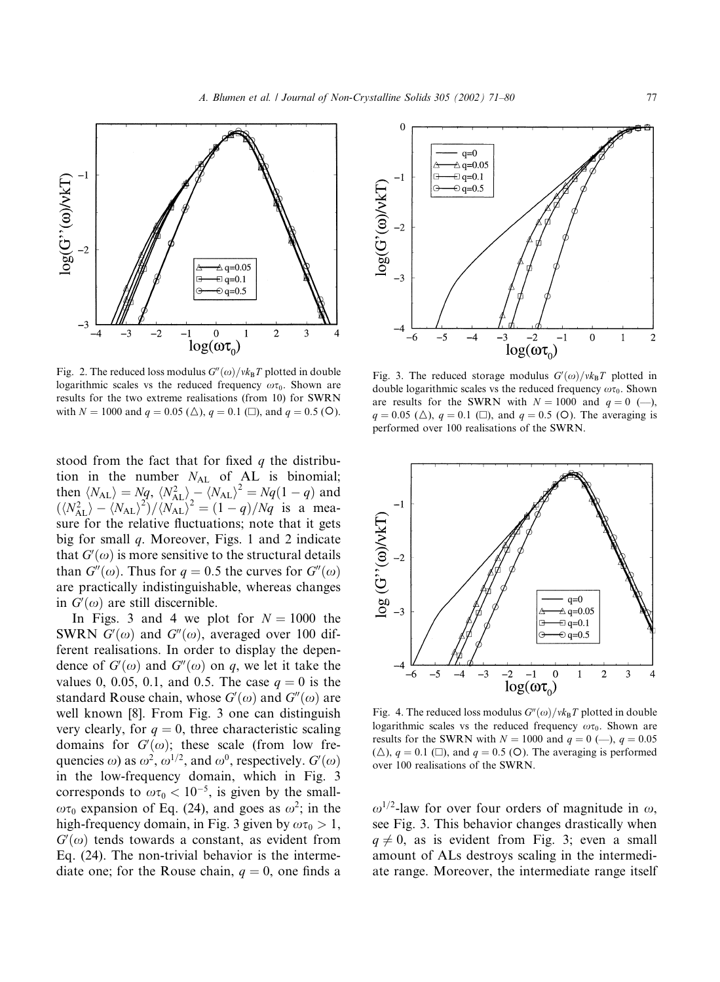

Fig. 2. The reduced loss modulus  $G''(\omega)/v k_BT$  plotted in double logarithmic scales vs the reduced frequency  $\omega\tau_0$ . Shown are results for the two extreme realisations (from 10) for SWRN with  $N = 1000$  and  $q = 0.05$  ( $\triangle$ ),  $q = 0.1$  ( $\Box$ ), and  $q = 0.5$  (O).

stood from the fact that for fixed  $q$  the distribution in the number  $N_{AL}$  of AL is binomial; then  $\langle N_{\rm AL} \rangle = N_q$ ,  $\langle N_{\rm AL}^2 \rangle - \langle N_{\rm AL} \rangle^2 = N_q(1-q)$  and  $(\langle N_{\rm AL}^2 \rangle - \langle N_{\rm AL} \rangle^2)/\langle N_{\rm AL} \rangle^2 = (1 - q)/Nq$  is a measure for the relative fluctuations; note that it gets big for small  $q$ . Moreover, Figs. 1 and 2 indicate that  $G'(\omega)$  is more sensitive to the structural details than  $G''(\omega)$ . Thus for  $q = 0.5$  the curves for  $G''(\omega)$ are practically indistinguishable, whereas changes in  $G'(\omega)$  are still discernible.

In Figs. 3 and 4 we plot for  $N = 1000$  the SWRN  $G'(\omega)$  and  $G''(\omega)$ , averaged over 100 different realisations. In order to display the dependence of  $G'(\omega)$  and  $G''(\omega)$  on q, we let it take the values 0, 0.05, 0.1, and 0.5. The case  $q = 0$  is the standard Rouse chain, whose  $G'(\omega)$  and  $G''(\omega)$  are well known [8]. From Fig. 3 one can distinguish very clearly, for  $q = 0$ , three characteristic scaling domains for  $G'(\omega)$ ; these scale (from low frequencies  $\omega$ ) as  $\omega^2$ ,  $\omega^{1/2}$ , and  $\omega^0$ , respectively.  $G'(\omega)$ in the low-frequency domain, which in Fig. 3 corresponds to  $\omega \tau_0 < 10^{-5}$ , is given by the small- $\omega\tau_0$  expansion of Eq. (24), and goes as  $\omega^2$ ; in the high-frequency domain, in Fig. 3 given by  $\omega \tau_0 > 1$ ,  $G'(\omega)$  tends towards a constant, as evident from Eq. (24). The non-trivial behavior is the intermediate one; for the Rouse chain,  $q = 0$ , one finds a



Fig. 3. The reduced storage modulus  $G'(\omega)/\nu k_BT$  plotted in double logarithmic scales vs the reduced frequency  $\omega\tau_0$ . Shown are results for the SWRN with  $N = 1000$  and  $q = 0$  (-),  $q = 0.05 \ (\triangle), q = 0.1 \ (\square), \text{ and } q = 0.5 \ (\text{O}).$  The averaging is performed over 100 realisations of the SWRN.



Fig. 4. The reduced loss modulus  $G''(\omega)/vk_BT$  plotted in double logarithmic scales vs the reduced frequency  $\omega\tau_0$ . Shown are results for the SWRN with  $N = 1000$  and  $q = 0$  (–),  $q = 0.05$ ( $\triangle$ ),  $q = 0.1$  ( $\square$ ), and  $q = 0.5$  (O). The averaging is performed over 100 realisations of the SWRN.

 $\omega^{1/2}$ -law for over four orders of magnitude in  $\omega$ , see Fig. 3. This behavior changes drastically when  $q \neq 0$ , as is evident from Fig. 3; even a small amount of ALs destroys scaling in the intermediate range. Moreover, the intermediate range itself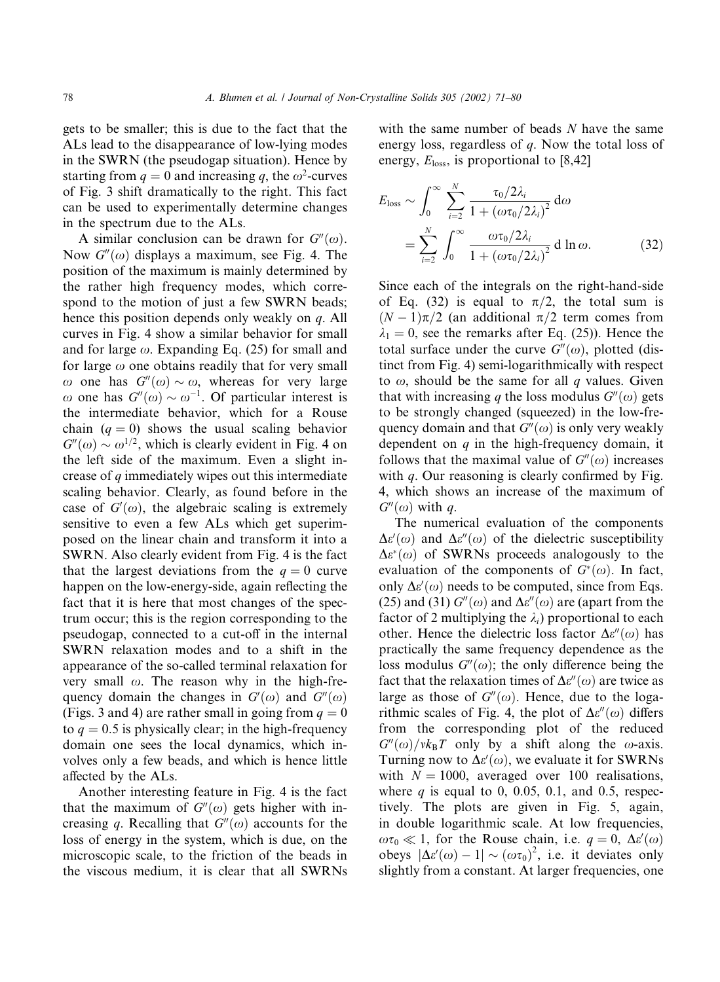gets to be smaller; this is due to the fact that the ALs lead to the disappearance of low-lying modes in the SWRN (the pseudogap situation). Hence by starting from  $q = 0$  and increasing q, the  $\omega^2$ -curves of Fig. 3 shift dramatically to the right. This fact can be used to experimentally determine changes in the spectrum due to the ALs.

A similar conclusion can be drawn for  $G''(\omega)$ . Now  $G''(\omega)$  displays a maximum, see Fig. 4. The position of the maximum is mainly determined by the rather high frequency modes, which correspond to the motion of just a few SWRN beads; hence this position depends only weakly on q. All curves in Fig. 4 show a similar behavior for small and for large  $\omega$ . Expanding Eq. (25) for small and for large  $\omega$  one obtains readily that for very small  $\omega$  one has  $G''(\omega) \sim \omega$ , whereas for very large  $\omega$  one has  $G''(\omega) \sim \omega^{-1}$ . Of particular interest is the intermediate behavior, which for a Rouse chain  $(q = 0)$  shows the usual scaling behavior  $G''(\omega) \sim \omega^{1/2}$ , which is clearly evident in Fig. 4 on the left side of the maximum. Even a slight increase of q immediately wipes out this intermediate scaling behavior. Clearly, as found before in the case of  $G'(\omega)$ , the algebraic scaling is extremely sensitive to even a few ALs which get superimposed on the linear chain and transform it into a SWRN. Also clearly evident from Fig. 4 is the fact that the largest deviations from the  $q = 0$  curve happen on the low-energy-side, again reflecting the fact that it is here that most changes of the spectrum occur; this is the region corresponding to the pseudogap, connected to a cut-off in the internal SWRN relaxation modes and to a shift in the appearance of the so-called terminal relaxation for very small  $\omega$ . The reason why in the high-frequency domain the changes in  $G'(\omega)$  and  $G''(\omega)$ (Figs. 3 and 4) are rather small in going from  $q = 0$ to  $q = 0.5$  is physically clear; in the high-frequency domain one sees the local dynamics, which involves only a few beads, and which is hence little affected by the ALs.

Another interesting feature in Fig. 4 is the fact that the maximum of  $G''(\omega)$  gets higher with increasing q. Recalling that  $G''(\omega)$  accounts for the loss of energy in the system, which is due, on the microscopic scale, to the friction of the beads in the viscous medium, it is clear that all SWRNs with the same number of beads  $N$  have the same energy loss, regardless of q. Now the total loss of energy,  $E_{loss}$ , is proportional to [8,42]

$$
E_{\text{loss}} \sim \int_0^\infty \sum_{i=2}^N \frac{\tau_0/2\lambda_i}{1 + (\omega \tau_0/2\lambda_i)^2} d\omega
$$
  
= 
$$
\sum_{i=2}^N \int_0^\infty \frac{\omega \tau_0/2\lambda_i}{1 + (\omega \tau_0/2\lambda_i)^2} d\ln \omega.
$$
 (32)

Since each of the integrals on the right-hand-side of Eq. (32) is equal to  $\pi/2$ , the total sum is  $(N-1)\pi/2$  (an additional  $\pi/2$  term comes from  $\lambda_1 = 0$ , see the remarks after Eq. (25)). Hence the total surface under the curve  $G''(\omega)$ , plotted (distinct from Fig. 4) semi-logarithmically with respect to  $\omega$ , should be the same for all q values. Given that with increasing q the loss modulus  $G''(\omega)$  gets to be strongly changed (squeezed) in the low-frequency domain and that  $G''(\omega)$  is only very weakly dependent on  $q$  in the high-frequency domain, it follows that the maximal value of  $G''(\omega)$  increases with  $q$ . Our reasoning is clearly confirmed by Fig. 4, which shows an increase of the maximum of  $G''(\omega)$  with q.

The numerical evaluation of the components  $\Delta \varepsilon'(\omega)$  and  $\Delta \varepsilon''(\omega)$  of the dielectric susceptibility  $\Delta \varepsilon^*(\omega)$  of SWRNs proceeds analogously to the evaluation of the components of  $G^*(\omega)$ . In fact, only  $\Delta \varepsilon'(\omega)$  needs to be computed, since from Eqs. (25) and (31)  $G''(\omega)$  and  $\Delta \varepsilon''(\omega)$  are (apart from the factor of 2 multiplying the  $\lambda_i$ ) proportional to each other. Hence the dielectric loss factor  $\Delta \varepsilon''(\omega)$  has practically the same frequency dependence as the loss modulus  $G''(\omega)$ ; the only difference being the fact that the relaxation times of  $\Delta\varepsilon''(\omega)$  are twice as large as those of  $G''(\omega)$ . Hence, due to the logarithmic scales of Fig. 4, the plot of  $\Delta \varepsilon''(\omega)$  differs from the corresponding plot of the reduced  $G''(\omega)/vk_BT$  only by a shift along the  $\omega$ -axis. Turning now to  $\Delta \varepsilon'(\omega)$ , we evaluate it for SWRNs with  $N = 1000$ , averaged over 100 realisations, where q is equal to 0, 0.05, 0.1, and 0.5, respectively. The plots are given in Fig. 5, again, in double logarithmic scale. At low frequencies,  $\omega \tau_0 \ll 1$ , for the Rouse chain, i.e.  $q = 0$ ,  $\Delta \varepsilon'(\omega)$ obeys  $|\Delta \varepsilon'(\omega) - 1| \sim (\omega \tau_0)^2$ , i.e. it deviates only slightly from a constant. At larger frequencies, one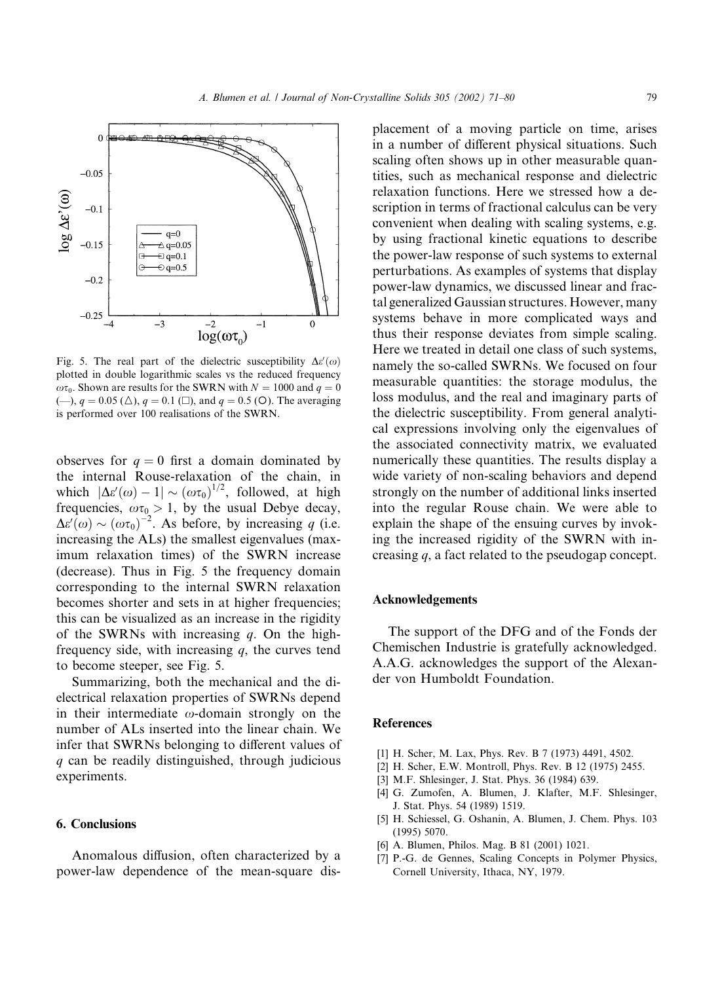

Fig. 5. The real part of the dielectric susceptibility  $\Delta \varepsilon'(\omega)$ plotted in double logarithmic scales vs the reduced frequency  $\omega \tau_0$ . Shown are results for the SWRN with  $N = 1000$  and  $q = 0$ (–),  $q = 0.05 \, (\triangle)$ ,  $q = 0.1 \, (\square)$ , and  $q = 0.5 \, (\square)$ . The averaging is performed over 100 realisations of the SWRN.

observes for  $q = 0$  first a domain dominated by the internal Rouse-relaxation of the chain, in which  $|\Delta \varepsilon'(\omega) - 1| \sim (\omega \tau_0)^{1/2}$ , followed, at high frequencies,  $\omega \tau_0 > 1$ , by the usual Debye decay,  $\Delta \varepsilon'(\omega) \sim (\omega \tau_0)^{-2}$ . As before, by increasing q (i.e. increasing the ALs) the smallest eigenvalues (maximum relaxation times) of the SWRN increase (decrease). Thus in Fig. 5 the frequency domain corresponding to the internal SWRN relaxation becomes shorter and sets in at higher frequencies; this can be visualized as an increase in the rigidity of the SWRNs with increasing  $q$ . On the highfrequency side, with increasing  $q$ , the curves tend to become steeper, see Fig. 5.

Summarizing, both the mechanical and the dielectrical relaxation properties of SWRNs depend in their intermediate  $\omega$ -domain strongly on the number of ALs inserted into the linear chain. We infer that SWRNs belonging to different values of q can be readily distinguished, through judicious experiments.

# 6. Conclusions

Anomalous diffusion, often characterized by a power-law dependence of the mean-square displacement of a moving particle on time, arises in a number of different physical situations. Such scaling often shows up in other measurable quantities, such as mechanical response and dielectric relaxation functions. Here we stressed how a description in terms of fractional calculus can be very convenient when dealing with scaling systems, e.g. by using fractional kinetic equations to describe the power-law response of such systems to external perturbations. As examples of systems that display power-law dynamics, we discussed linear and fractal generalized Gaussian structures. However, many systems behave in more complicated ways and thus their response deviates from simple scaling. Here we treated in detail one class of such systems, namely the so-called SWRNs. We focused on four measurable quantities: the storage modulus, the loss modulus, and the real and imaginary parts of the dielectric susceptibility. From general analytical expressions involving only the eigenvalues of the associated connectivity matrix, we evaluated numerically these quantities. The results display a wide variety of non-scaling behaviors and depend strongly on the number of additional links inserted into the regular Rouse chain. We were able to explain the shape of the ensuing curves by invoking the increased rigidity of the SWRN with increasing q, a fact related to the pseudogap concept.

### Acknowledgements

The support of the DFG and of the Fonds der Chemischen Industrie is gratefully acknowledged. A.A.G. acknowledges the support of the Alexander von Humboldt Foundation.

#### **References**

- [1] H. Scher, M. Lax, Phys. Rev. B 7 (1973) 4491, 4502.
- [2] H. Scher, E.W. Montroll, Phys. Rev. B 12 (1975) 2455.
- [3] M.F. Shlesinger, J. Stat. Phys. 36 (1984) 639.
- [4] G. Zumofen, A. Blumen, J. Klafter, M.F. Shlesinger, J. Stat. Phys. 54 (1989) 1519.
- [5] H. Schiessel, G. Oshanin, A. Blumen, J. Chem. Phys. 103 (1995) 5070.
- [6] A. Blumen, Philos. Mag. B 81 (2001) 1021.
- [7] P.-G. de Gennes, Scaling Concepts in Polymer Physics, Cornell University, Ithaca, NY, 1979.